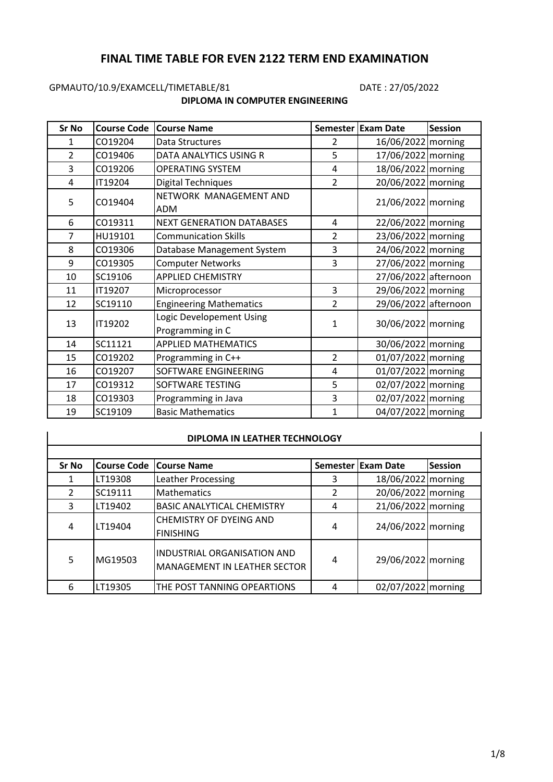# **FINAL TIME TABLE FOR EVEN 2122 TERM END EXAMINATION**

# GPMAUTO/10.9/EXAMCELL/TIMETABLE/81 DATE: 27/05/2022

## **DIPLOMA IN COMPUTER ENGINEERING**

| Sr No          | <b>Course Code</b> | <b>Course Name</b>                           |                | Semester Exam Date   | <b>Session</b>     |
|----------------|--------------------|----------------------------------------------|----------------|----------------------|--------------------|
| 1              | CO19204            | Data Structures                              | 2              | 16/06/2022 morning   |                    |
| $\overline{2}$ | CO19406            | DATA ANALYTICS USING R                       | 5              | 17/06/2022 morning   |                    |
| 3              | CO19206            | <b>OPERATING SYSTEM</b>                      | 4              | 18/06/2022 morning   |                    |
| 4              | IT19204            | <b>Digital Techniques</b>                    | $\overline{2}$ | 20/06/2022 morning   |                    |
| 5              | CO19404            | NETWORK MANAGEMENT AND<br><b>ADM</b>         |                | 21/06/2022 morning   |                    |
| 6              | CO19311            | <b>NEXT GENERATION DATABASES</b>             | 4              | 22/06/2022 morning   |                    |
| 7              | HU19101            | <b>Communication Skills</b>                  | $\overline{2}$ | 23/06/2022 morning   |                    |
| 8              | CO19306            | Database Management System                   | 3              |                      | 24/06/2022 morning |
| 9              | CO19305            | <b>Computer Networks</b>                     | 3              | 27/06/2022 morning   |                    |
| 10             | SC19106            | <b>APPLIED CHEMISTRY</b>                     |                | 27/06/2022 afternoon |                    |
| 11             | IT19207            | Microprocessor                               | 3              | 29/06/2022 morning   |                    |
| 12             | SC19110            | <b>Engineering Mathematics</b>               | 2              | 29/06/2022 afternoon |                    |
| 13             | IT19202            | Logic Developement Using<br>Programming in C | $\mathbf{1}$   | 30/06/2022 morning   |                    |
| 14             | SC11121            | <b>APPLIED MATHEMATICS</b>                   |                | 30/06/2022 morning   |                    |
| 15             | CO19202            | Programming in C++                           | $\overline{2}$ | 01/07/2022 morning   |                    |
| 16             | CO19207            | SOFTWARE ENGINEERING                         | 4              | 01/07/2022   morning |                    |
| 17             | CO19312            | SOFTWARE TESTING                             | 5              | 02/07/2022 morning   |                    |
| 18             | CO19303            | Programming in Java                          | 3              | 02/07/2022 morning   |                    |
| 19             | SC19109            | <b>Basic Mathematics</b>                     | $\mathbf{1}$   | 04/07/2022 morning   |                    |

### **DIPLOMA IN LEATHER TECHNOLOGY**

| <b>Sr No</b> | <b>Course Code</b> | <b>Course Name</b>                                                        |   | Semester Exam Date | <b>Session</b> |
|--------------|--------------------|---------------------------------------------------------------------------|---|--------------------|----------------|
|              | LT19308            | Leather Processing                                                        | 3 | 18/06/2022 morning |                |
| 2            | SC19111            | Mathematics                                                               |   | 20/06/2022 morning |                |
| 3            | LT19402            | <b>BASIC ANALYTICAL CHEMISTRY</b>                                         | 4 | 21/06/2022 morning |                |
| 4            | LT19404            | <b>CHEMISTRY OF DYEING AND</b><br><b>FINISHING</b>                        | 4 | 24/06/2022 morning |                |
| 5            | MG19503            | <b>INDUSTRIAL ORGANISATION AND</b><br><b>MANAGEMENT IN LEATHER SECTOR</b> | 4 | 29/06/2022 morning |                |
| 6            | LT19305            | THE POST TANNING OPEARTIONS                                               | 4 | 02/07/2022 morning |                |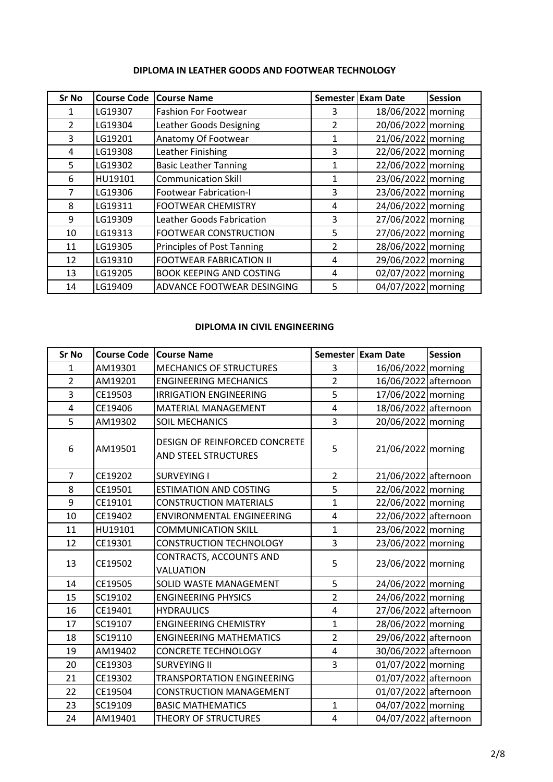| <b>Sr No</b>  | <b>Course Code</b> | <b>Course Name</b>                                         |                | <b>Semester Exam Date</b> | <b>Session</b> |
|---------------|--------------------|------------------------------------------------------------|----------------|---------------------------|----------------|
| 1             | LG19307            | <b>Fashion For Footwear</b>                                | 3              | 18/06/2022 morning        |                |
| $\mathcal{P}$ | LG19304            | Leather Goods Designing                                    | $\overline{2}$ | 20/06/2022 morning        |                |
| 3             | LG19201            | Anatomy Of Footwear                                        | 1              | 21/06/2022 morning        |                |
| 4             | LG19308            | Leather Finishing                                          | 3              | 22/06/2022   morning      |                |
| 5             | LG19302            | <b>Basic Leather Tanning</b>                               | 1              | 22/06/2022 morning        |                |
| 6             | HU19101            | 23/06/2022   morning<br><b>Communication Skill</b><br>1    |                |                           |                |
|               | LG19306            | <b>Footwear Fabrication-I</b>                              | 3              | 23/06/2022 morning        |                |
| 8             | LG19311            | <b>FOOTWEAR CHEMISTRY</b>                                  | 4              | 24/06/2022 morning        |                |
| 9             | LG19309            | Leather Goods Fabrication                                  | 3              | 27/06/2022 morning        |                |
| 10            | LG19313            | <b>FOOTWEAR CONSTRUCTION</b>                               | 5              | 27/06/2022 morning        |                |
| 11            | LG19305            | <b>Principles of Post Tanning</b>                          | $\overline{2}$ | 28/06/2022 morning        |                |
| 12            | LG19310            | <b>FOOTWEAR FABRICATION II</b>                             | 4              | 29/06/2022 morning        |                |
| 13            | LG19205            | 02/07/2022 morning<br><b>BOOK KEEPING AND COSTING</b><br>4 |                |                           |                |
| 14            | LG19409            | ADVANCE FOOTWEAR DESINGING                                 | 5              | 04/07/2022 morning        |                |

### **DIPLOMA IN CIVIL ENGINEERING**

| <b>Sr No</b>   | <b>Course Code</b> | <b>Course Name</b>                                                                      |                           | Semester Exam Date   | <b>Session</b> |
|----------------|--------------------|-----------------------------------------------------------------------------------------|---------------------------|----------------------|----------------|
| $\mathbf{1}$   | AM19301            | <b>MECHANICS OF STRUCTURES</b>                                                          | 3                         | 16/06/2022 morning   |                |
| $\overline{2}$ | AM19201            | <b>ENGINEERING MECHANICS</b>                                                            | $\overline{2}$            | 16/06/2022 afternoon |                |
| 3              | CE19503            | <b>IRRIGATION ENGINEERING</b>                                                           | 5                         | 17/06/2022 morning   |                |
| 4              | CE19406            | <b>MATERIAL MANAGEMENT</b>                                                              | 4                         | 18/06/2022 afternoon |                |
| 5              | AM19302            | <b>SOIL MECHANICS</b>                                                                   | $\overline{3}$            | 20/06/2022 morning   |                |
| 6              | AM19501            | DESIGN OF REINFORCED CONCRETE<br>5<br>21/06/2022 morning<br><b>AND STEEL STRUCTURES</b> |                           |                      |                |
| 7              | CE19202            | <b>SURVEYING I</b>                                                                      | $\overline{2}$            | 21/06/2022 afternoon |                |
| 8              | CE19501            | <b>ESTIMATION AND COSTING</b>                                                           | 5                         | 22/06/2022 morning   |                |
| 9              | CE19101            | <b>CONSTRUCTION MATERIALS</b>                                                           | $\mathbf{1}$              | 22/06/2022 morning   |                |
| 10             | CE19402            | <b>ENVIRONMENTAL ENGINEERING</b>                                                        | 22/06/2022 afternoon<br>4 |                      |                |
| 11             | HU19101            | $\mathbf{1}$<br><b>COMMUNICATION SKILL</b>                                              |                           | 23/06/2022 morning   |                |
| 12             | CE19301            | <b>CONSTRUCTION TECHNOLOGY</b>                                                          | 3                         | 23/06/2022 morning   |                |
| 13             | CE19502            | CONTRACTS, ACCOUNTS AND<br>VALUATION                                                    | 5                         | 23/06/2022 morning   |                |
| 14             | CE19505            | SOLID WASTE MANAGEMENT                                                                  | 5                         | 24/06/2022 morning   |                |
| 15             | SC19102            | <b>ENGINEERING PHYSICS</b>                                                              | $\overline{2}$            | 24/06/2022 morning   |                |
| 16             | CE19401            | <b>HYDRAULICS</b>                                                                       | 4                         | 27/06/2022 afternoon |                |
| 17             | SC19107            | <b>ENGINEERING CHEMISTRY</b>                                                            | $\mathbf{1}$              | 28/06/2022 morning   |                |
| 18             | SC19110            | <b>ENGINEERING MATHEMATICS</b>                                                          | $\overline{2}$            | 29/06/2022 afternoon |                |
| 19             | AM19402            | <b>CONCRETE TECHNOLOGY</b>                                                              | 4                         | 30/06/2022 afternoon |                |
| 20             | CE19303            | <b>SURVEYING II</b>                                                                     | 01/07/2022 morning<br>3   |                      |                |
| 21             | CE19302            | <b>TRANSPORTATION ENGINEERING</b>                                                       | 01/07/2022 afternoon      |                      |                |
| 22             | CE19504            | <b>CONSTRUCTION MANAGEMENT</b>                                                          |                           | 01/07/2022 afternoon |                |
| 23             | SC19109            | <b>BASIC MATHEMATICS</b>                                                                | $\mathbf{1}$              | 04/07/2022 morning   |                |
| 24             | AM19401            | THEORY OF STRUCTURES                                                                    | 4                         | 04/07/2022 afternoon |                |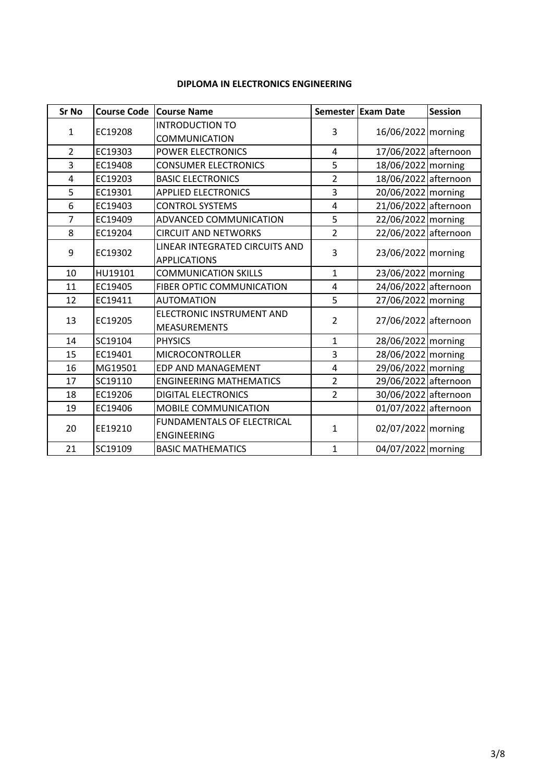### **DIPLOMA IN ELECTRONICS ENGINEERING**

| <b>Sr No</b>   | <b>Course Code</b> | <b>Course Name</b>                |                | Semester Exam Date                     | <b>Session</b> |  |
|----------------|--------------------|-----------------------------------|----------------|----------------------------------------|----------------|--|
|                |                    | <b>INTRODUCTION TO</b>            |                |                                        |                |  |
| $\mathbf{1}$   | EC19208            | <b>COMMUNICATION</b>              | 3              | 16/06/2022 morning                     |                |  |
| $\overline{2}$ | EC19303            | <b>POWER ELECTRONICS</b>          | 4              | 17/06/2022 afternoon                   |                |  |
| 3              | EC19408            | <b>CONSUMER ELECTRONICS</b>       | 5              | 18/06/2022 morning                     |                |  |
| 4              | EC19203            | <b>BASIC ELECTRONICS</b>          | $\overline{2}$ | 18/06/2022 afternoon                   |                |  |
| 5              | EC19301            | <b>APPLIED ELECTRONICS</b>        | 3              | 20/06/2022 morning                     |                |  |
| 6              | EC19403            | <b>CONTROL SYSTEMS</b>            | $\overline{4}$ | 21/06/2022 afternoon                   |                |  |
| $\overline{7}$ | EC19409            | ADVANCED COMMUNICATION            | 5              | 22/06/2022 morning                     |                |  |
| 8              | EC19204            | <b>CIRCUIT AND NETWORKS</b>       | $\overline{2}$ | 22/06/2022 afternoon                   |                |  |
| 9              | EC19302            | LINEAR INTEGRATED CIRCUITS AND    | 3              | 23/06/2022 morning                     |                |  |
|                |                    | <b>APPLICATIONS</b>               |                |                                        |                |  |
| 10             | HU19101            | <b>COMMUNICATION SKILLS</b>       | $\mathbf{1}$   |                                        |                |  |
| 11             | EC19405            | <b>FIBER OPTIC COMMUNICATION</b>  | $\overline{4}$ | 24/06/2022 afternoon                   |                |  |
| 12             | EC19411            | <b>AUTOMATION</b>                 | 5              | 27/06/2022   morning                   |                |  |
| 13             | EC19205            | ELECTRONIC INSTRUMENT AND         |                | $\overline{2}$<br>27/06/2022 afternoon |                |  |
|                |                    | <b>MEASUREMENTS</b>               |                |                                        |                |  |
| 14             | SC19104            | <b>PHYSICS</b>                    | $\mathbf{1}$   | 28/06/2022 morning                     |                |  |
| 15             | EC19401            | <b>MICROCONTROLLER</b>            | 3              | 28/06/2022 morning                     |                |  |
| 16             | MG19501            | <b>EDP AND MANAGEMENT</b>         | 4              | 29/06/2022 morning                     |                |  |
| 17             | SC19110            | <b>ENGINEERING MATHEMATICS</b>    | $\overline{2}$ | 29/06/2022 afternoon                   |                |  |
| 18             | EC19206            | <b>DIGITAL ELECTRONICS</b>        | 2              | 30/06/2022 afternoon                   |                |  |
| 19             | EC19406            | MOBILE COMMUNICATION              |                | 01/07/2022 afternoon                   |                |  |
|                |                    | <b>FUNDAMENTALS OF ELECTRICAL</b> |                |                                        |                |  |
| 20             | EE19210            | <b>ENGINEERING</b>                | $\mathbf{1}$   | 02/07/2022 morning                     |                |  |
| 21             | SC19109            | <b>BASIC MATHEMATICS</b>          | $\mathbf{1}$   | 04/07/2022 morning                     |                |  |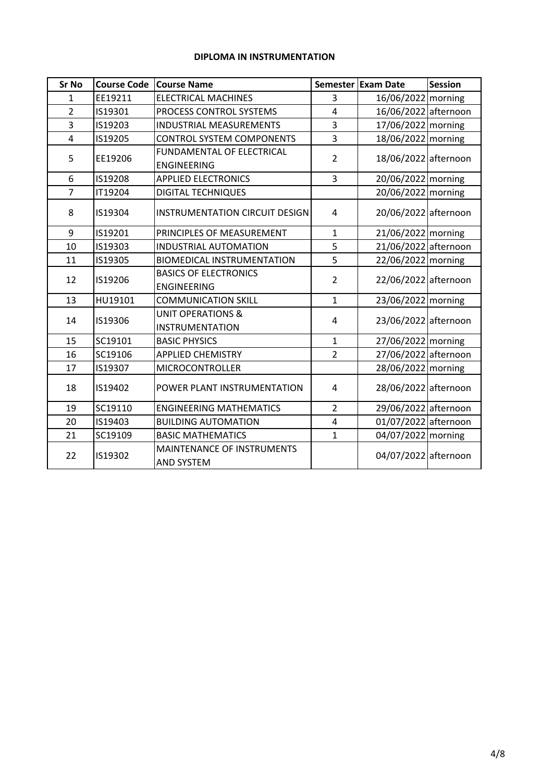## **DIPLOMA IN INSTRUMENTATION**

| <b>Sr No</b>   | <b>Course Code</b>                                                | <b>Course Name</b>                                     |                                        | Semester Exam Date   | <b>Session</b>       |  |  |
|----------------|-------------------------------------------------------------------|--------------------------------------------------------|----------------------------------------|----------------------|----------------------|--|--|
| $\mathbf{1}$   | EE19211                                                           | <b>ELECTRICAL MACHINES</b>                             | 3                                      | 16/06/2022 morning   |                      |  |  |
| $\overline{2}$ | IS19301                                                           | PROCESS CONTROL SYSTEMS                                | $\overline{a}$                         | 16/06/2022 afternoon |                      |  |  |
| 3              | IS19203                                                           | <b>INDUSTRIAL MEASUREMENTS</b>                         | 3                                      | 17/06/2022 morning   |                      |  |  |
| 4              | IS19205                                                           | <b>CONTROL SYSTEM COMPONENTS</b>                       | 3                                      | 18/06/2022 morning   |                      |  |  |
| 5              | EE19206                                                           | FUNDAMENTAL OF ELECTRICAL<br><b>ENGINEERING</b>        | $\overline{2}$                         | 18/06/2022 afternoon |                      |  |  |
| 6              | IS19208                                                           | <b>APPLIED ELECTRONICS</b>                             | $\overline{3}$                         | 20/06/2022 morning   |                      |  |  |
| $\overline{7}$ | <b>IT19204</b>                                                    | <b>DIGITAL TECHNIQUES</b>                              |                                        | 20/06/2022 morning   |                      |  |  |
| 8              | IS19304                                                           | <b>INSTRUMENTATION CIRCUIT DESIGN</b>                  | 4                                      | 20/06/2022 afternoon |                      |  |  |
| 9              | IS19201                                                           | PRINCIPLES OF MEASUREMENT                              | 21/06/2022 morning<br>$\mathbf{1}$     |                      |                      |  |  |
| 10             | IS19303                                                           | <b>INDUSTRIAL AUTOMATION</b>                           | 5                                      | 21/06/2022 afternoon |                      |  |  |
| 11             | IS19305                                                           | <b>BIOMEDICAL INSTRUMENTATION</b>                      | 5                                      | 22/06/2022 morning   |                      |  |  |
| 12             | IS19206                                                           | <b>BASICS OF ELECTRONICS</b><br><b>ENGINEERING</b>     | $\overline{2}$                         |                      | 22/06/2022 afternoon |  |  |
| 13             | HU19101                                                           | <b>COMMUNICATION SKILL</b>                             | $\mathbf{1}$                           | 23/06/2022 morning   |                      |  |  |
| 14             | IS19306                                                           | <b>UNIT OPERATIONS &amp;</b><br><b>INSTRUMENTATION</b> | 4                                      | 23/06/2022 afternoon |                      |  |  |
| 15             | SC19101                                                           | <b>BASIC PHYSICS</b>                                   | $\mathbf{1}$                           | 27/06/2022 morning   |                      |  |  |
| 16             | SC19106                                                           | <b>APPLIED CHEMISTRY</b>                               | $\overline{2}$                         | 27/06/2022 afternoon |                      |  |  |
| 17             | IS19307                                                           | <b>MICROCONTROLLER</b>                                 |                                        | 28/06/2022 morning   |                      |  |  |
| 18             | IS19402                                                           | POWER PLANT INSTRUMENTATION                            | 4                                      |                      | 28/06/2022 afternoon |  |  |
| 19             | SC19110                                                           | <b>ENGINEERING MATHEMATICS</b>                         | 29/06/2022 afternoon<br>$\overline{2}$ |                      |                      |  |  |
| 20             | IS19403                                                           | <b>BUILDING AUTOMATION</b>                             | $\overline{4}$                         | 01/07/2022 afternoon |                      |  |  |
| 21             | SC19109                                                           | <b>BASIC MATHEMATICS</b>                               | $\mathbf{1}$                           | 04/07/2022 morning   |                      |  |  |
| 22             | <b>MAINTENANCE OF INSTRUMENTS</b><br>IS19302<br><b>AND SYSTEM</b> |                                                        |                                        | 04/07/2022 afternoon |                      |  |  |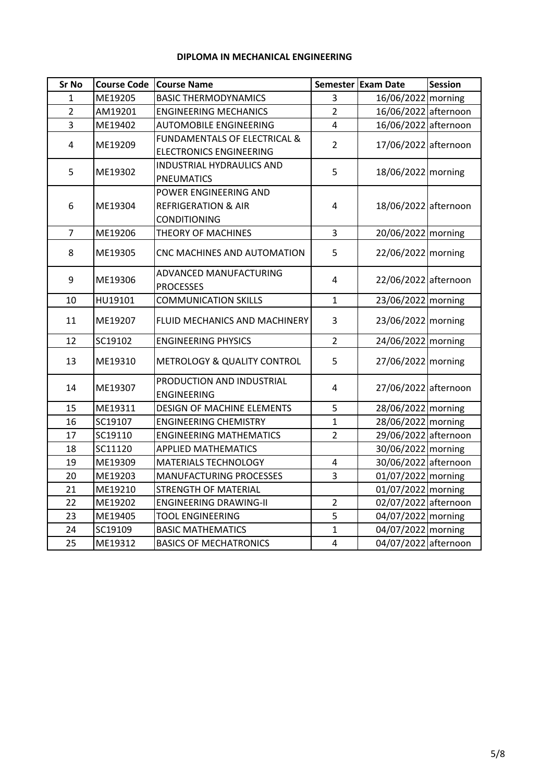## **DIPLOMA IN MECHANICAL ENGINEERING**

| <b>Sr No</b>   | <b>Course Code</b> | <b>Course Name</b>                                                             |                                    | Semester Exam Date   | Session              |  |  |
|----------------|--------------------|--------------------------------------------------------------------------------|------------------------------------|----------------------|----------------------|--|--|
| $\mathbf{1}$   | ME19205            | <b>BASIC THERMODYNAMICS</b>                                                    | 3                                  | 16/06/2022 morning   |                      |  |  |
| $\overline{2}$ | AM19201            | <b>ENGINEERING MECHANICS</b>                                                   | $\overline{2}$                     | 16/06/2022 afternoon |                      |  |  |
| 3              | ME19402            | <b>AUTOMOBILE ENGINEERING</b>                                                  | $\overline{4}$                     | 16/06/2022 afternoon |                      |  |  |
| 4              | ME19209            | <b>FUNDAMENTALS OF ELECTRICAL &amp;</b><br><b>ELECTRONICS ENGINEERING</b>      | $\overline{2}$                     | 17/06/2022 afternoon |                      |  |  |
| 5              | ME19302            | INDUSTRIAL HYDRAULICS AND<br><b>PNEUMATICS</b>                                 | 5                                  | 18/06/2022 morning   |                      |  |  |
| 6              | ME19304            | POWER ENGINEERING AND<br><b>REFRIGERATION &amp; AIR</b><br><b>CONDITIONING</b> | 18/06/2022 afternoon<br>4          |                      |                      |  |  |
| $\overline{7}$ | ME19206            | THEORY OF MACHINES                                                             | 3                                  | 20/06/2022 morning   |                      |  |  |
| 8              | ME19305            | CNC MACHINES AND AUTOMATION                                                    | 5                                  | 22/06/2022 morning   |                      |  |  |
| 9              | ME19306            | ADVANCED MANUFACTURING<br><b>PROCESSES</b>                                     | 4                                  | 22/06/2022 afternoon |                      |  |  |
| 10             | HU19101            | <b>COMMUNICATION SKILLS</b>                                                    | $\mathbf{1}$<br>23/06/2022 morning |                      |                      |  |  |
| 11             | ME19207            | FLUID MECHANICS AND MACHINERY                                                  | 3                                  | 23/06/2022 morning   |                      |  |  |
| 12             | SC19102            | <b>ENGINEERING PHYSICS</b>                                                     | $\overline{2}$                     | 24/06/2022 morning   |                      |  |  |
| 13             | ME19310            | METROLOGY & QUALITY CONTROL                                                    | 5                                  | 27/06/2022 morning   |                      |  |  |
| 14             | ME19307            | PRODUCTION AND INDUSTRIAL<br><b>ENGINEERING</b>                                | 4                                  | 27/06/2022 afternoon |                      |  |  |
| 15             | ME19311            | DESIGN OF MACHINE ELEMENTS                                                     | 5                                  | 28/06/2022 morning   |                      |  |  |
| 16             | SC19107            | <b>ENGINEERING CHEMISTRY</b>                                                   | $\mathbf{1}$                       | 28/06/2022 morning   |                      |  |  |
| 17             | SC19110            | <b>ENGINEERING MATHEMATICS</b>                                                 | $\overline{2}$                     | 29/06/2022 afternoon |                      |  |  |
| 18             | SC11120            | <b>APPLIED MATHEMATICS</b>                                                     |                                    | 30/06/2022   morning |                      |  |  |
| 19             | ME19309            | MATERIALS TECHNOLOGY                                                           | 30/06/2022 afternoon<br>4          |                      |                      |  |  |
| 20             | ME19203            | <b>MANUFACTURING PROCESSES</b>                                                 | 3                                  | 01/07/2022 morning   |                      |  |  |
| 21             | ME19210            | <b>STRENGTH OF MATERIAL</b>                                                    | 01/07/2022 morning                 |                      |                      |  |  |
| 22             | ME19202            | <b>ENGINEERING DRAWING-II</b>                                                  | $\overline{2}$                     |                      | 02/07/2022 afternoon |  |  |
| 23             | ME19405            | <b>TOOL ENGINEERING</b>                                                        | 5                                  | 04/07/2022 morning   |                      |  |  |
| 24             | SC19109            | <b>BASIC MATHEMATICS</b>                                                       | $\mathbf{1}$                       | 04/07/2022 morning   |                      |  |  |
| 25             | ME19312            | <b>BASICS OF MECHATRONICS</b>                                                  | $\overline{\mathbf{r}}$            | 04/07/2022 afternoon |                      |  |  |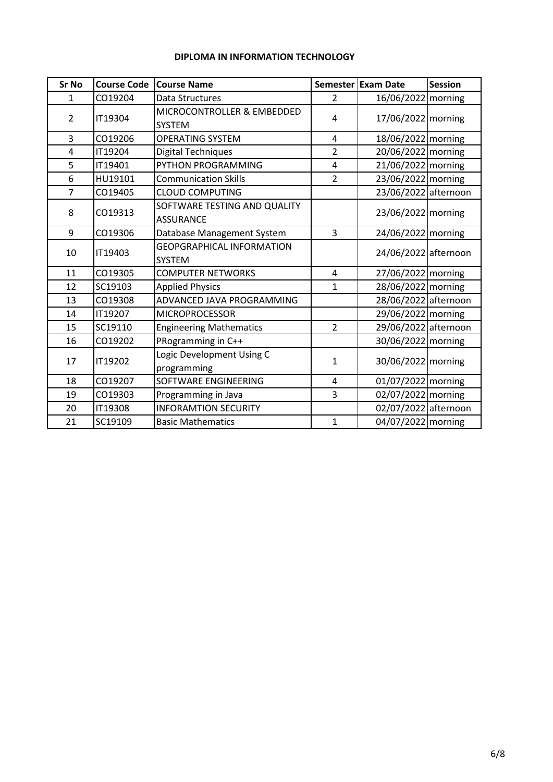## **DIPLOMA IN INFORMATION TECHNOLOGY**

| <b>Sr No</b>   | <b>Course Code</b> | <b>Course Name</b>                                |                                      | Semester Exam Date   | <b>Session</b>     |  |
|----------------|--------------------|---------------------------------------------------|--------------------------------------|----------------------|--------------------|--|
| $\mathbf{1}$   | CO19204            | Data Structures                                   | $\overline{2}$                       | 16/06/2022 morning   |                    |  |
| $\overline{2}$ | IT19304            | MICROCONTROLLER & EMBEDDED<br><b>SYSTEM</b>       | 4                                    | 17/06/2022 morning   |                    |  |
| 3              | CO19206            | <b>OPERATING SYSTEM</b>                           | 4                                    | 18/06/2022 morning   |                    |  |
| 4              | IT19204            | <b>Digital Techniques</b>                         | $\overline{2}$                       | 20/06/2022 morning   |                    |  |
| 5              | IT19401            | PYTHON PROGRAMMING                                | 4                                    | 21/06/2022 morning   |                    |  |
| 6              | HU19101            | <b>Communication Skills</b>                       | $\overline{2}$                       | 23/06/2022 morning   |                    |  |
| $\overline{7}$ | CO19405            | <b>CLOUD COMPUTING</b>                            |                                      | 23/06/2022 afternoon |                    |  |
| 8              | CO19313            | SOFTWARE TESTING AND QUALITY<br><b>ASSURANCE</b>  |                                      |                      | 23/06/2022 morning |  |
| 9              | CO19306            | Database Management System                        | $\overline{3}$<br>24/06/2022 morning |                      |                    |  |
| 10             | IT19403            | <b>GEOPGRAPHICAL INFORMATION</b><br><b>SYSTEM</b> |                                      | 24/06/2022 afternoon |                    |  |
| 11             | CO19305            | <b>COMPUTER NETWORKS</b>                          | 4                                    | 27/06/2022 morning   |                    |  |
| 12             | SC19103            | <b>Applied Physics</b>                            | 1                                    | 28/06/2022 morning   |                    |  |
| 13             | CO19308            | ADVANCED JAVA PROGRAMMING                         |                                      | 28/06/2022 afternoon |                    |  |
| 14             | IT19207            | <b>MICROPROCESSOR</b>                             |                                      | 29/06/2022 morning   |                    |  |
| 15             | SC19110            | <b>Engineering Mathematics</b>                    | $\overline{2}$                       | 29/06/2022 afternoon |                    |  |
| 16             | CO19202            | PRogramming in C++                                |                                      | 30/06/2022 morning   |                    |  |
| 17             | <b>IT19202</b>     | Logic Development Using C<br>programming          | $\mathbf{1}$                         | 30/06/2022 morning   |                    |  |
| 18             | CO19207            | SOFTWARE ENGINEERING<br>4                         |                                      | 01/07/2022 morning   |                    |  |
| 19             | CO19303            | Programming in Java                               | 3                                    | 02/07/2022 morning   |                    |  |
| 20             | <b>IT19308</b>     | <b>INFORAMTION SECURITY</b>                       |                                      | 02/07/2022 afternoon |                    |  |
| 21             | SC19109            | <b>Basic Mathematics</b>                          | $\mathbf{1}$                         | 04/07/2022 morning   |                    |  |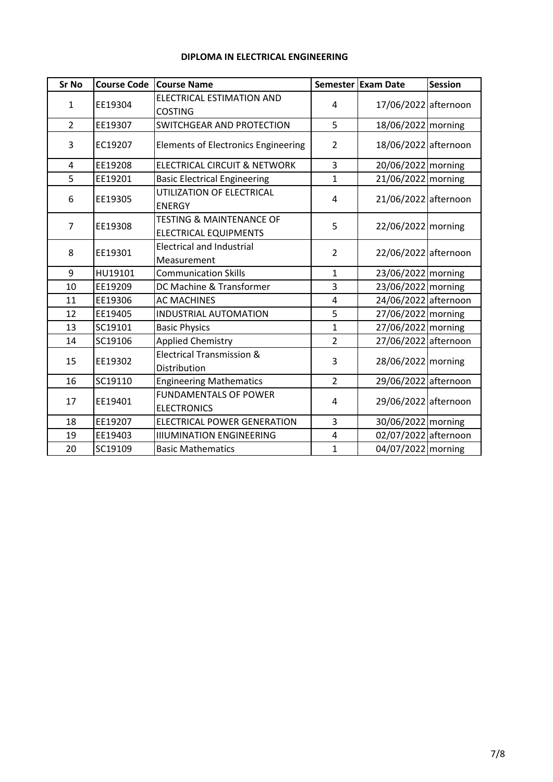## **DIPLOMA IN ELECTRICAL ENGINEERING**

| <b>Sr No</b>   | <b>Course Code</b> | <b>Course Name</b>                                                  |                    | Semester Exam Date   | <b>Session</b> |
|----------------|--------------------|---------------------------------------------------------------------|--------------------|----------------------|----------------|
| $\mathbf{1}$   | EE19304            | ELECTRICAL ESTIMATION AND<br><b>COSTING</b>                         | 4                  | 17/06/2022 afternoon |                |
| $\overline{2}$ | EE19307            | SWITCHGEAR AND PROTECTION                                           | 5                  | 18/06/2022 morning   |                |
| 3              | EC19207            | <b>Elements of Electronics Engineering</b>                          | $\overline{2}$     | 18/06/2022 afternoon |                |
| 4              | EE19208            | <b>ELECTRICAL CIRCUIT &amp; NETWORK</b>                             | 3                  | 20/06/2022 morning   |                |
| 5              | EE19201            | <b>Basic Electrical Engineering</b>                                 | $\mathbf{1}$       | 21/06/2022 morning   |                |
| 6              | EE19305            | UTILIZATION OF ELECTRICAL<br><b>ENERGY</b>                          | 4                  | 21/06/2022 afternoon |                |
| $\overline{7}$ | EE19308            | <b>TESTING &amp; MAINTENANCE OF</b><br><b>ELECTRICAL EQUIPMENTS</b> | 22/06/2022 morning |                      |                |
| 8              | EE19301            | <b>Electrical and Industrial</b><br>$\overline{2}$<br>Measurement   |                    | 22/06/2022 afternoon |                |
| 9              | HU19101            | <b>Communication Skills</b>                                         | $\mathbf{1}$       | 23/06/2022 morning   |                |
| 10             | EE19209            | DC Machine & Transformer                                            | 3                  | 23/06/2022 morning   |                |
| 11             | EE19306            | <b>AC MACHINES</b>                                                  | 4                  | 24/06/2022 afternoon |                |
| 12             | EE19405            | <b>INDUSTRIAL AUTOMATION</b>                                        | 5                  | 27/06/2022 morning   |                |
| 13             | SC19101            | <b>Basic Physics</b>                                                | $\mathbf{1}$       | 27/06/2022 morning   |                |
| 14             | SC19106            | <b>Applied Chemistry</b>                                            | $\overline{2}$     | 27/06/2022 afternoon |                |
| 15             | EE19302            | <b>Electrical Transmission &amp;</b><br>Distribution                | 3                  | 28/06/2022 morning   |                |
| 16             | SC19110            | <b>Engineering Mathematics</b>                                      | $\overline{2}$     | 29/06/2022 afternoon |                |
| 17             | EE19401            | <b>FUNDAMENTALS OF POWER</b><br><b>ELECTRONICS</b>                  | 4                  | 29/06/2022 afternoon |                |
| 18             | EE19207            | <b>ELECTRICAL POWER GENERATION</b>                                  | 3                  | 30/06/2022 morning   |                |
| 19             | EE19403            | <b>IIIUMINATION ENGINEERING</b>                                     | 4                  | 02/07/2022 afternoon |                |
| 20             | SC19109            | <b>Basic Mathematics</b>                                            | $\mathbf{1}$       | 04/07/2022 morning   |                |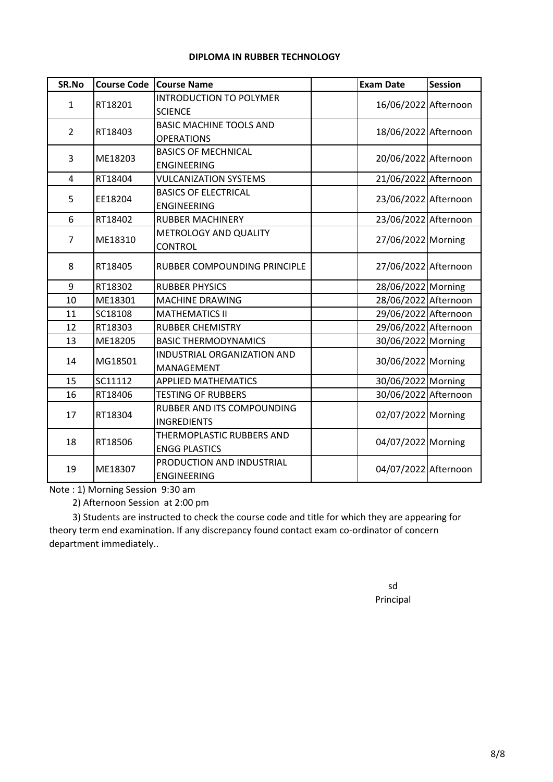### **DIPLOMA IN RUBBER TECHNOLOGY**

| SR.No          | <b>Course Code</b> | <b>Course Name</b>             | <b>Exam Date</b>     | <b>Session</b>       |                      |  |
|----------------|--------------------|--------------------------------|----------------------|----------------------|----------------------|--|
|                |                    | <b>INTRODUCTION TO POLYMER</b> |                      |                      |                      |  |
| $\mathbf{1}$   | RT18201            | <b>SCIENCE</b>                 |                      |                      | 16/06/2022 Afternoon |  |
| 2              | RT18403            | <b>BASIC MACHINE TOOLS AND</b> |                      |                      |                      |  |
|                |                    | <b>OPERATIONS</b>              |                      | 18/06/2022 Afternoon |                      |  |
| 3              | ME18203            | <b>BASICS OF MECHNICAL</b>     |                      | 20/06/2022 Afternoon |                      |  |
|                |                    | <b>ENGINEERING</b>             |                      |                      |                      |  |
| 4              | RT18404            | <b>VULCANIZATION SYSTEMS</b>   |                      | 21/06/2022 Afternoon |                      |  |
| 5              | EE18204            | <b>BASICS OF ELECTRICAL</b>    |                      | 23/06/2022 Afternoon |                      |  |
|                |                    | <b>ENGINEERING</b>             |                      |                      |                      |  |
| 6              | RT18402            | <b>RUBBER MACHINERY</b>        |                      | 23/06/2022 Afternoon |                      |  |
| $\overline{7}$ | ME18310            | METROLOGY AND QUALITY          |                      | 27/06/2022 Morning   |                      |  |
|                |                    | <b>CONTROL</b>                 |                      |                      |                      |  |
| 8              | RT18405            | RUBBER COMPOUNDING PRINCIPLE   | 27/06/2022 Afternoon |                      |                      |  |
| 9              | RT18302            | <b>RUBBER PHYSICS</b>          |                      | 28/06/2022 Morning   |                      |  |
| 10             | ME18301            | <b>MACHINE DRAWING</b>         |                      | 28/06/2022 Afternoon |                      |  |
| 11             | SC18108            | <b>MATHEMATICS II</b>          |                      | 29/06/2022 Afternoon |                      |  |
| 12             | RT18303            | <b>RUBBER CHEMISTRY</b>        |                      | 29/06/2022 Afternoon |                      |  |
| 13             | ME18205            | <b>BASIC THERMODYNAMICS</b>    |                      | 30/06/2022 Morning   |                      |  |
| 14             | MG18501            | INDUSTRIAL ORGANIZATION AND    |                      | 30/06/2022 Morning   |                      |  |
|                |                    | MANAGEMENT                     |                      |                      |                      |  |
| 15             | SC11112            | <b>APPLIED MATHEMATICS</b>     |                      | 30/06/2022 Morning   |                      |  |
| 16             | RT18406            | <b>TESTING OF RUBBERS</b>      |                      | 30/06/2022 Afternoon |                      |  |
| 17             | RT18304            | RUBBER AND ITS COMPOUNDING     |                      |                      |                      |  |
|                |                    | <b>INGREDIENTS</b>             | 02/07/2022 Morning   |                      |                      |  |
| 18             |                    | THERMOPLASTIC RUBBERS AND      |                      |                      |                      |  |
|                | RT18506            | <b>ENGG PLASTICS</b>           | 04/07/2022 Morning   |                      |                      |  |
|                |                    | PRODUCTION AND INDUSTRIAL      |                      |                      |                      |  |
| 19             | ME18307            | <b>ENGINEERING</b>             |                      |                      | 04/07/2022 Afternoon |  |

Note : 1) Morning Session 9:30 am

2) Afternoon Session at 2:00 pm

 3) Students are instructed to check the course code and title for which they are appearing for theory term end examination. If any discrepancy found contact exam co-ordinator of concern department immediately..

> sd Principal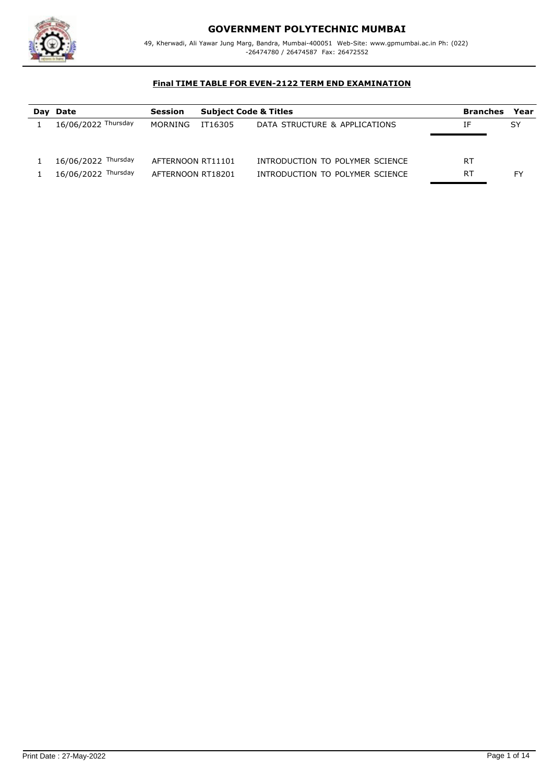

# **GOVERNMENT POLYTECHNIC MUMBAI**

49, Kherwadi, Ali Yawar Jung Marg, Bandra, Mumbai-400051 Web-Site: www.gpmumbai.ac.in Ph: (022) -26474780 / 26474587 Fax: 26472552

| Day Date            | <b>Session</b>    | <b>Subject Code &amp; Titles</b> |                                 | <b>Branches</b> | Year |
|---------------------|-------------------|----------------------------------|---------------------------------|-----------------|------|
| 16/06/2022 Thursday | MORNING           | IT16305                          | DATA STRUCTURE & APPLICATIONS   | ΙF              | SY   |
|                     |                   |                                  |                                 |                 |      |
|                     |                   |                                  |                                 |                 |      |
| 16/06/2022 Thursday | AFTERNOON RT11101 |                                  | INTRODUCTION TO POLYMER SCIENCE | RT              |      |
| 16/06/2022 Thursday | AFTERNOON RT18201 |                                  | INTRODUCTION TO POLYMER SCIENCE | RT              | FY   |
|                     |                   |                                  |                                 |                 |      |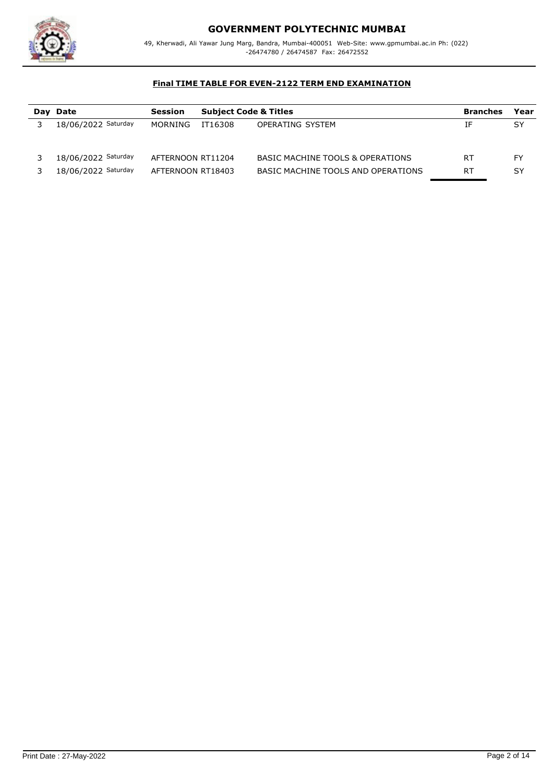

# **GOVERNMENT POLYTECHNIC MUMBAI**

49, Kherwadi, Ali Yawar Jung Marg, Bandra, Mumbai-400051 Web-Site: www.gpmumbai.ac.in Ph: (022) -26474780 / 26474587 Fax: 26472552

| Day Date            | Session           | <b>Subject Code &amp; Titles</b> |                                    | <b>Branches</b> | Year |
|---------------------|-------------------|----------------------------------|------------------------------------|-----------------|------|
| 18/06/2022 Saturday | MORNING           | IT16308                          | OPERATING SYSTEM                   | ΙF              | SY   |
|                     |                   |                                  |                                    |                 |      |
|                     |                   |                                  |                                    |                 |      |
| 18/06/2022 Saturday | AFTERNOON RT11204 |                                  | BASIC MACHINE TOOLS & OPERATIONS   | RT              | FY   |
| 18/06/2022 Saturday | AFTERNOON RT18403 |                                  | BASIC MACHINE TOOLS AND OPERATIONS | RT              | SY   |
|                     |                   |                                  |                                    |                 |      |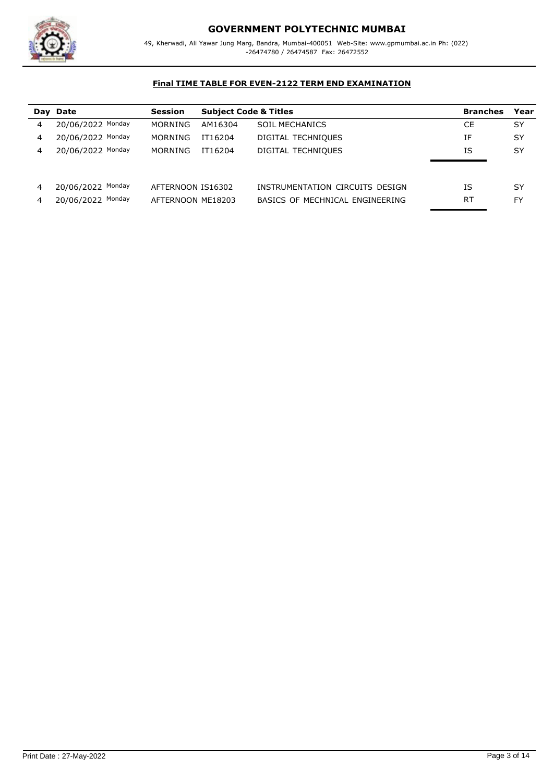

|   | Day Date          | <b>Session</b>    |         | <b>Subject Code &amp; Titles</b> |    | Year      |
|---|-------------------|-------------------|---------|----------------------------------|----|-----------|
| 4 | 20/06/2022 Monday | <b>MORNING</b>    | AM16304 | <b>SOIL MECHANICS</b>            | СE | SY        |
| 4 | 20/06/2022 Monday | MORNING           | IT16204 | DIGITAL TECHNIQUES               | ΙF | SY        |
| 4 | 20/06/2022 Monday | MORNING           | IT16204 | DIGITAL TECHNIQUES               | ΙS | SY        |
|   |                   |                   |         |                                  |    |           |
|   |                   |                   |         |                                  |    |           |
| 4 | 20/06/2022 Monday | AFTERNOON IS16302 |         | INSTRUMENTATION CIRCUITS DESIGN  | ΙS | SY        |
| 4 | 20/06/2022 Monday | AFTERNOON ME18203 |         | BASICS OF MECHNICAL ENGINEERING  | RT | <b>FY</b> |
|   |                   |                   |         |                                  |    |           |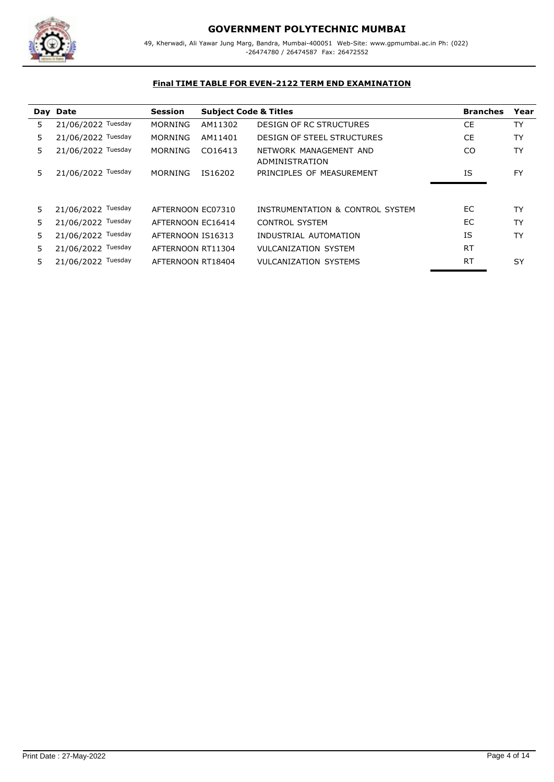

|    | Day Date           | <b>Session</b>    | <b>Subject Code &amp; Titles</b> |                                          | <b>Branches</b> | Year      |
|----|--------------------|-------------------|----------------------------------|------------------------------------------|-----------------|-----------|
| 5. | 21/06/2022 Tuesday | MORNING           | AM11302                          | <b>DESIGN OF RC STRUCTURES</b>           | CE              | <b>TY</b> |
| 5. | 21/06/2022 Tuesday | MORNING           | AM11401                          | <b>DESIGN OF STEEL STRUCTURES</b>        | CE.             | TY        |
| 5. | 21/06/2022 Tuesday | MORNING           | CO16413                          | NETWORK MANAGEMENT AND<br>ADMINISTRATION | CO              | TY        |
| 5  | 21/06/2022 Tuesday | MORNING           | IS16202                          | PRINCIPLES OF MEASUREMENT                | <b>IS</b>       | <b>FY</b> |
|    |                    |                   |                                  |                                          |                 |           |
| 5. | 21/06/2022 Tuesday | AFTERNOON EC07310 |                                  | INSTRUMENTATION & CONTROL SYSTEM         | EC.             | <b>TY</b> |
| 5. | 21/06/2022 Tuesday | AFTERNOON EC16414 |                                  | <b>CONTROL SYSTEM</b>                    | EC.             | TY        |
| 5. | 21/06/2022 Tuesday | AFTERNOON IS16313 |                                  | INDUSTRIAL AUTOMATION                    | IS              | TY        |
| 5. | 21/06/2022 Tuesday | AFTERNOON RT11304 |                                  | <b>VULCANIZATION SYSTEM</b>              | <b>RT</b>       |           |
| 5. | 21/06/2022 Tuesday | AFTERNOON RT18404 |                                  | <b>VULCANIZATION SYSTEMS</b>             | <b>RT</b>       | SY        |
|    |                    |                   |                                  |                                          |                 |           |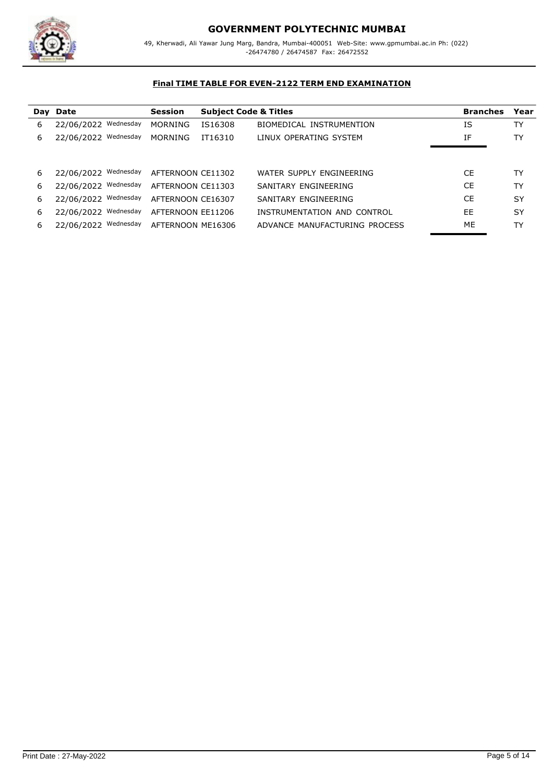

|                         | <b>Session</b>                   |         |                                                                                                       | <b>Branches</b>                  | Year      |
|-------------------------|----------------------------------|---------|-------------------------------------------------------------------------------------------------------|----------------------------------|-----------|
| Wednesday<br>22/06/2022 | <b>MORNING</b>                   | IS16308 | BIOMEDICAL INSTRUMENTION                                                                              | ΙS                               | TY        |
| 22/06/2022 Wednesday    | MORNING                          | IT16310 | LINUX OPERATING SYSTEM                                                                                | ΙF                               | TY        |
|                         |                                  |         |                                                                                                       |                                  |           |
|                         |                                  |         |                                                                                                       |                                  |           |
|                         |                                  |         | WATER SUPPLY ENGINEERING                                                                              | <b>CE</b>                        | TY        |
| 22/06/2022 Wednesday    |                                  |         | SANITARY ENGINEERING                                                                                  | <b>CE</b>                        | TY        |
| 22/06/2022 Wednesday    |                                  |         | SANITARY ENGINEERING                                                                                  | CE.                              | <b>SY</b> |
| 22/06/2022 Wednesday    |                                  |         | INSTRUMENTATION AND CONTROL                                                                           | EE                               | SY        |
| 22/06/2022 Wednesday    |                                  |         | ADVANCE MANUFACTURING PROCESS                                                                         | ME                               | TY        |
|                         | Day Date<br>22/06/2022 Wednesday |         | AFTERNOON CE11302<br>AFTERNOON CE11303<br>AFTERNOON CE16307<br>AFTERNOON EE11206<br>AFTERNOON ME16306 | <b>Subject Code &amp; Titles</b> |           |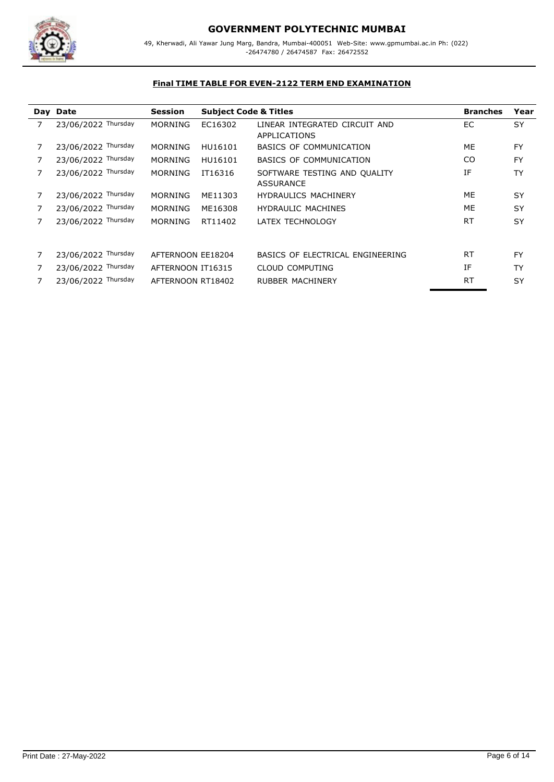

|   | Day Date            | <b>Session</b>    | <b>Subject Code &amp; Titles</b> |                                                  | <b>Branches</b> | Year      |
|---|---------------------|-------------------|----------------------------------|--------------------------------------------------|-----------------|-----------|
| 7 | 23/06/2022 Thursday | <b>MORNING</b>    | EC16302                          | LINEAR INTEGRATED CIRCUIT AND<br>APPLICATIONS    | EC              | <b>SY</b> |
|   | 23/06/2022 Thursday | <b>MORNING</b>    | HU16101                          | BASICS OF COMMUNICATION                          | ME              | <b>FY</b> |
|   | 23/06/2022 Thursday | <b>MORNING</b>    | HU16101                          | BASICS OF COMMUNICATION                          | CO.             | <b>FY</b> |
|   | 23/06/2022 Thursday | <b>MORNING</b>    | IT16316                          | SOFTWARE TESTING AND QUALITY<br><b>ASSURANCE</b> | ΙF              | TY        |
|   | 23/06/2022 Thursday | <b>MORNING</b>    | ME11303                          | <b>HYDRAULICS MACHINERY</b>                      | ME              | SY        |
|   | 23/06/2022 Thursday | <b>MORNING</b>    | ME16308                          | <b>HYDRAULIC MACHINES</b>                        | ME              | SY        |
|   | 23/06/2022 Thursday | <b>MORNING</b>    | RT11402                          | LATEX TECHNOLOGY                                 | <b>RT</b>       | <b>SY</b> |
|   | 23/06/2022 Thursday | AFTERNOON EE18204 |                                  | BASICS OF ELECTRICAL ENGINEERING                 | <b>RT</b>       | <b>FY</b> |
|   | 23/06/2022 Thursday | AFTERNOON IT16315 |                                  | <b>CLOUD COMPUTING</b>                           | IF              | TY        |
|   | 23/06/2022 Thursday | AFTERNOON RT18402 |                                  | <b>RUBBER MACHINERY</b>                          | <b>RT</b>       | <b>SY</b> |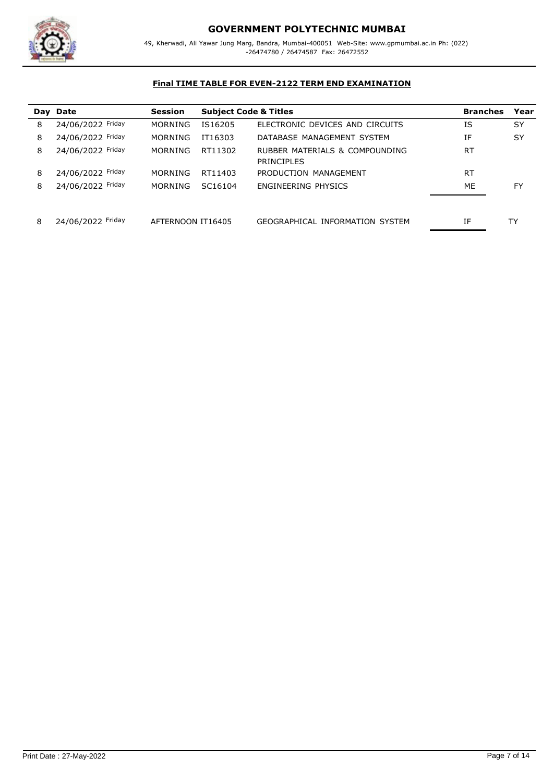

|   | Day Date          | <b>Session</b>    | <b>Subject Code &amp; Titles</b> |                                              | <b>Branches</b> | Year |
|---|-------------------|-------------------|----------------------------------|----------------------------------------------|-----------------|------|
| 8 | 24/06/2022 Friday | <b>MORNING</b>    | IS16205                          | ELECTRONIC DEVICES AND CIRCUITS              | ΙS              | SY   |
| 8 | 24/06/2022 Friday | <b>MORNING</b>    | IT16303                          | DATABASE MANAGEMENT SYSTEM                   | ΙF              | SY   |
| 8 | 24/06/2022 Friday | MORNING           | RT11302                          | RUBBER MATERIALS & COMPOUNDING<br>PRINCIPLES | <b>RT</b>       |      |
| 8 | 24/06/2022 Friday | MORNING           | RT11403                          | PRODUCTION MANAGEMENT                        | <b>RT</b>       |      |
| 8 | 24/06/2022 Friday | MORNING           | SC <sub>16104</sub>              | ENGINEERING PHYSICS                          | ME              | FY   |
| 8 | 24/06/2022 Friday | AFTERNOON IT16405 |                                  | GEOGRAPHICAL INFORMATION SYSTEM              | ΙF              | TY   |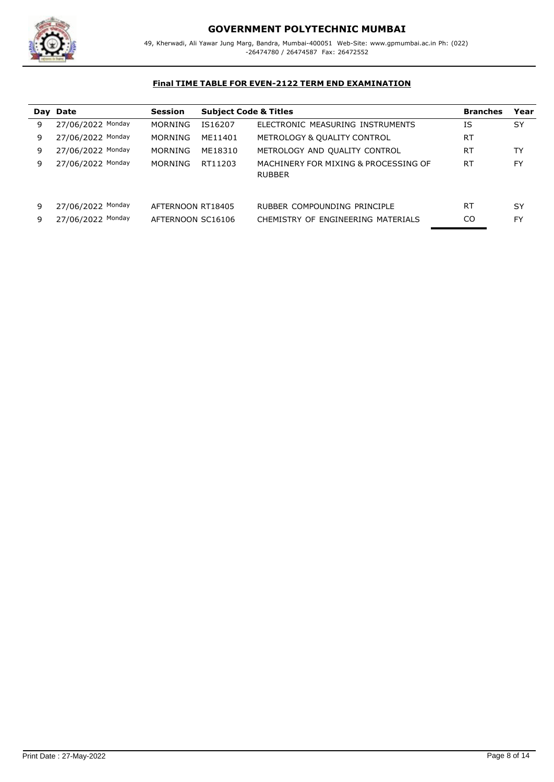

|   | Day Date          | <b>Session</b>    | <b>Subject Code &amp; Titles</b> |                                                       | <b>Branches</b> | Year      |
|---|-------------------|-------------------|----------------------------------|-------------------------------------------------------|-----------------|-----------|
| 9 | 27/06/2022 Monday | MORNING           | IS16207                          | ELECTRONIC MEASURING INSTRUMENTS                      | ΙS              | SY        |
| 9 | 27/06/2022 Monday | MORNING           | ME11401                          | METROLOGY & QUALITY CONTROL                           | <b>RT</b>       |           |
| 9 | 27/06/2022 Monday | MORNING           | ME18310                          | METROLOGY AND QUALITY CONTROL                         | RT              | TY        |
| 9 | 27/06/2022 Monday | MORNING           | RT11203                          | MACHINERY FOR MIXING & PROCESSING OF<br><b>RUBBER</b> | <b>RT</b>       | <b>FY</b> |
| 9 | 27/06/2022 Monday | AFTERNOON RT18405 |                                  | RUBBER COMPOUNDING PRINCIPLE                          | RT              | SY        |
| 9 | 27/06/2022 Monday | AFTERNOON SC16106 |                                  | CHEMISTRY OF ENGINEERING MATERIALS                    | CO              | FY        |
|   |                   |                   |                                  |                                                       |                 |           |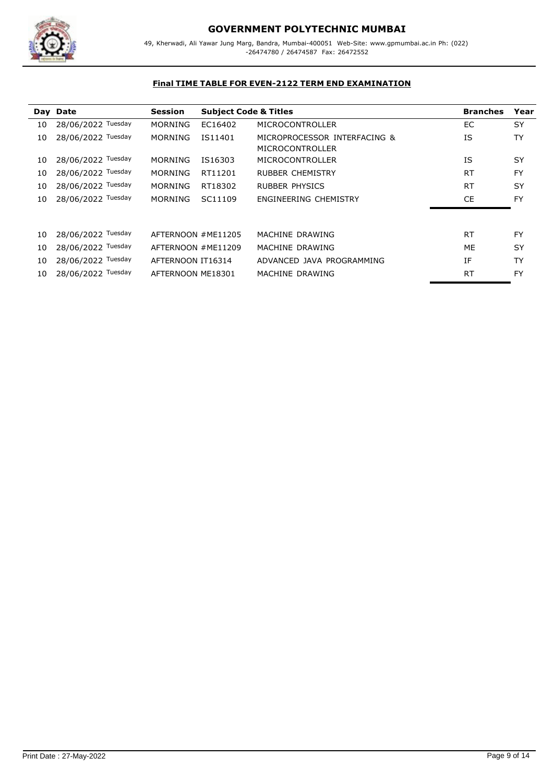

# **GOVERNMENT POLYTECHNIC MUMBAI**

49, Kherwadi, Ali Yawar Jung Marg, Bandra, Mumbai-400051 Web-Site: www.gpmumbai.ac.in Ph: (022) -26474780 / 26474587 Fax: 26472552

|    | Day Date           | <b>Session</b>     | <b>Subject Code &amp; Titles</b> |                                                 | <b>Branches</b> | Year      |
|----|--------------------|--------------------|----------------------------------|-------------------------------------------------|-----------------|-----------|
| 10 | 28/06/2022 Tuesday | <b>MORNING</b>     | EC16402                          | <b>MICROCONTROLLER</b>                          | EC.             | <b>SY</b> |
| 10 | 28/06/2022 Tuesday | <b>MORNING</b>     | IS11401                          | MICROPROCESSOR INTERFACING &<br>MICROCONTROLLER | ΙS              | TY        |
| 10 | 28/06/2022 Tuesday | <b>MORNING</b>     | IS16303                          | MICROCONTROLLER                                 | ΙS              | <b>SY</b> |
| 10 | 28/06/2022 Tuesday | <b>MORNING</b>     | RT11201                          | <b>RUBBER CHEMISTRY</b>                         | <b>RT</b>       | <b>FY</b> |
| 10 | 28/06/2022 Tuesday | <b>MORNING</b>     | RT18302                          | <b>RUBBER PHYSICS</b>                           | <b>RT</b>       | <b>SY</b> |
| 10 | 28/06/2022 Tuesday | <b>MORNING</b>     | SC11109                          | ENGINEERING CHEMISTRY                           | <b>CE</b>       | <b>FY</b> |
|    |                    |                    |                                  |                                                 |                 |           |
| 10 | 28/06/2022 Tuesday |                    | AFTERNOON #ME11205               | MACHINE DRAWING                                 | <b>RT</b>       | <b>FY</b> |
| 10 | 28/06/2022 Tuesday | AFTERNOON #ME11209 |                                  | MACHINE DRAWING                                 | ME              | <b>SY</b> |
| 10 | 28/06/2022 Tuesday | AFTERNOON IT16314  |                                  | ADVANCED JAVA PROGRAMMING                       | IF              | <b>TY</b> |
| 10 | 28/06/2022 Tuesday | AFTERNOON ME18301  |                                  | MACHINE DRAWING                                 | <b>RT</b>       | <b>FY</b> |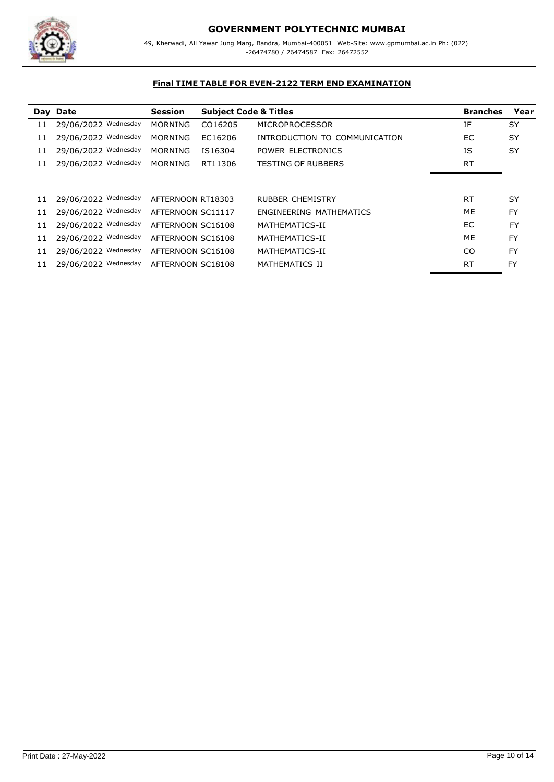

|    | Day Date             | <b>Session</b>    | <b>Subject Code &amp; Titles</b> |                               | <b>Branches</b> | Year      |
|----|----------------------|-------------------|----------------------------------|-------------------------------|-----------------|-----------|
| 11 | 29/06/2022 Wednesday | <b>MORNING</b>    | CO16205                          | <b>MICROPROCESSOR</b>         | ΙF              | SY        |
| 11 | 29/06/2022 Wednesday | <b>MORNING</b>    | EC16206                          | INTRODUCTION TO COMMUNICATION | EC.             | SY        |
| 11 | 29/06/2022 Wednesday | <b>MORNING</b>    | IS16304                          | POWER ELECTRONICS             | ΙS              | SY        |
| 11 | 29/06/2022 Wednesday | <b>MORNING</b>    | RT11306                          | <b>TESTING OF RUBBERS</b>     | <b>RT</b>       |           |
|    |                      |                   |                                  |                               |                 |           |
|    |                      |                   |                                  |                               |                 |           |
| 11 | 29/06/2022 Wednesday | AFTERNOON RT18303 |                                  | <b>RUBBER CHEMISTRY</b>       | RT              | SY        |
| 11 | 29/06/2022 Wednesday | AFTERNOON SC11117 |                                  | ENGINEERING MATHEMATICS       | ME              | <b>FY</b> |
| 11 | 29/06/2022 Wednesday | AFTERNOON SC16108 |                                  | MATHEMATICS-II                | EC.             | <b>FY</b> |
| 11 | 29/06/2022 Wednesday | AFTERNOON SC16108 |                                  | MATHEMATICS-II                | ME              | <b>FY</b> |
| 11 | 29/06/2022 Wednesday | AFTERNOON SC16108 |                                  | MATHEMATICS-II                | CO              | <b>FY</b> |
| 11 | 29/06/2022 Wednesday | AFTERNOON SC18108 |                                  | MATHEMATICS II                | <b>RT</b>       | <b>FY</b> |
|    |                      |                   |                                  |                               |                 |           |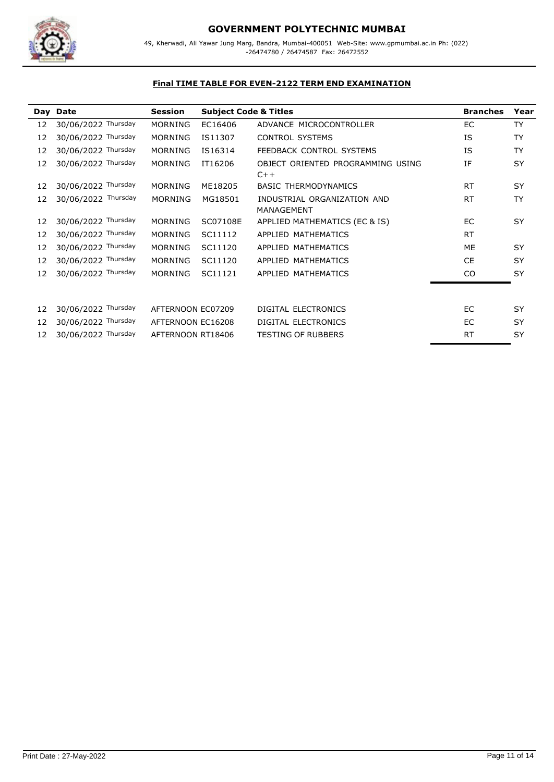

|    | Day Date            | <b>Session</b>    | <b>Subject Code &amp; Titles</b> |                                            | <b>Branches</b> | Year      |
|----|---------------------|-------------------|----------------------------------|--------------------------------------------|-----------------|-----------|
| 12 | 30/06/2022 Thursday | <b>MORNING</b>    | EC16406                          | ADVANCE MICROCONTROLLER                    | EC              | <b>TY</b> |
| 12 | 30/06/2022 Thursday | <b>MORNING</b>    | IS11307                          | <b>CONTROL SYSTEMS</b>                     | ΙS              | <b>TY</b> |
| 12 | 30/06/2022 Thursday | <b>MORNING</b>    | IS16314                          | FEEDBACK CONTROL SYSTEMS                   | <b>IS</b>       | <b>TY</b> |
| 12 | 30/06/2022 Thursday | <b>MORNING</b>    | IT16206                          | OBJECT ORIENTED PROGRAMMING USING<br>$C++$ | IF              | SY        |
| 12 | 30/06/2022 Thursday | <b>MORNING</b>    | ME18205                          | <b>BASIC THERMODYNAMICS</b>                | <b>RT</b>       | <b>SY</b> |
| 12 | 30/06/2022 Thursday | <b>MORNING</b>    | MG18501                          | INDUSTRIAL ORGANIZATION AND<br>MANAGEMENT  | <b>RT</b>       | <b>TY</b> |
| 12 | 30/06/2022 Thursday | <b>MORNING</b>    | SC07108E                         | APPLIED MATHEMATICS (EC & IS)              | EC              | <b>SY</b> |
| 12 | 30/06/2022 Thursday | <b>MORNING</b>    | SC11112                          | APPLIED MATHEMATICS                        | <b>RT</b>       |           |
| 12 | 30/06/2022 Thursday | <b>MORNING</b>    | SC11120                          | APPLIED MATHEMATICS                        | <b>ME</b>       | <b>SY</b> |
| 12 | 30/06/2022 Thursday | <b>MORNING</b>    | SC11120                          | APPLIED MATHEMATICS                        | <b>CE</b>       | <b>SY</b> |
| 12 | 30/06/2022 Thursday | <b>MORNING</b>    | SC11121                          | APPLIED MATHEMATICS                        | CO              | <b>SY</b> |
| 12 | 30/06/2022 Thursday | AFTERNOON EC07209 |                                  | DIGITAL ELECTRONICS                        | EC              | <b>SY</b> |
| 12 | 30/06/2022 Thursday | AFTERNOON EC16208 |                                  | <b>DIGITAL ELECTRONICS</b>                 | EC              | SY        |
| 12 | 30/06/2022 Thursday | AFTERNOON RT18406 |                                  | <b>TESTING OF RUBBERS</b>                  | RT              | SY        |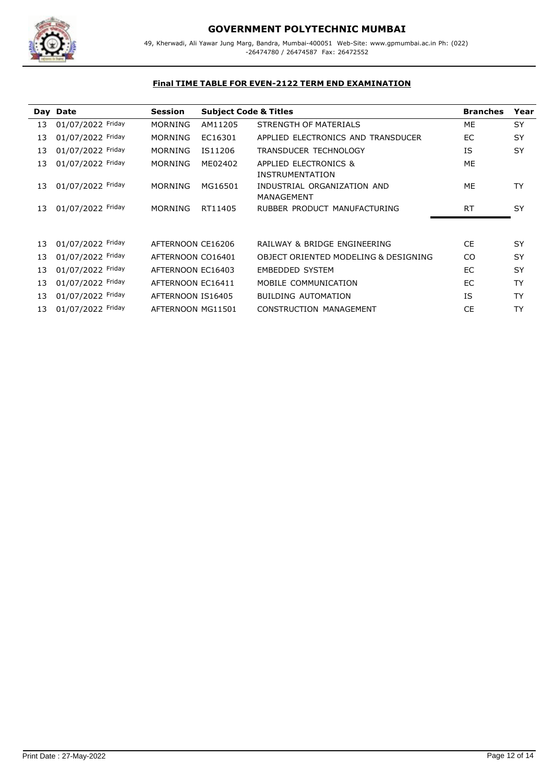

|                   |                               |                                  |                                                                                                                                       |                                                           | Year                  |
|-------------------|-------------------------------|----------------------------------|---------------------------------------------------------------------------------------------------------------------------------------|-----------------------------------------------------------|-----------------------|
|                   |                               |                                  |                                                                                                                                       |                                                           |                       |
|                   |                               |                                  |                                                                                                                                       |                                                           | SY                    |
| 01/07/2022 Friday | <b>MORNING</b>                | EC16301                          | APPLIED ELECTRONICS AND TRANSDUCER                                                                                                    | EC.                                                       | SY                    |
| 01/07/2022 Friday | <b>MORNING</b>                | IS11206                          | <b>TRANSDUCER TECHNOLOGY</b>                                                                                                          | ΙS                                                        | <b>SY</b>             |
| 01/07/2022 Friday | <b>MORNING</b>                | ME02402                          | APPLIED ELECTRONICS &<br><b>INSTRUMENTATION</b>                                                                                       | ME                                                        |                       |
| 01/07/2022 Friday | <b>MORNING</b>                | MG16501                          | INDUSTRIAL ORGANIZATION AND<br><b>MANAGEMENT</b>                                                                                      | ME                                                        | <b>TY</b>             |
| 01/07/2022 Friday | <b>MORNING</b>                | RT11405                          | RUBBER PRODUCT MANUFACTURING                                                                                                          | <b>RT</b>                                                 | <b>SY</b>             |
|                   |                               |                                  |                                                                                                                                       |                                                           |                       |
| 01/07/2022 Friday |                               |                                  | RAILWAY & BRIDGE ENGINEERING                                                                                                          | CE                                                        | SY                    |
| 01/07/2022 Friday |                               |                                  | <b>OBJECT ORIENTED MODELING &amp; DESIGNING</b>                                                                                       | CO.                                                       | <b>SY</b>             |
| 01/07/2022 Friday |                               |                                  | <b>EMBEDDED SYSTEM</b>                                                                                                                | EC.                                                       | SY                    |
| 01/07/2022 Friday |                               |                                  | MOBILE COMMUNICATION                                                                                                                  | EC.                                                       | <b>TY</b>             |
| 01/07/2022 Friday |                               |                                  | <b>BUILDING AUTOMATION</b>                                                                                                            | ΙS                                                        | <b>TY</b>             |
| 01/07/2022 Friday |                               |                                  | <b>CONSTRUCTION MANAGEMENT</b>                                                                                                        | <b>CE</b>                                                 | TY                    |
|                   | Day Date<br>01/07/2022 Friday | <b>Session</b><br><b>MORNING</b> | AM11205<br>AFTERNOON CE16206<br>AFTERNOON CO16401<br>AFTERNOON EC16403<br>AFTERNOON EC16411<br>AFTERNOON IS16405<br>AFTERNOON MG11501 | <b>Subject Code &amp; Titles</b><br>STRENGTH OF MATERIALS | <b>Branches</b><br>ME |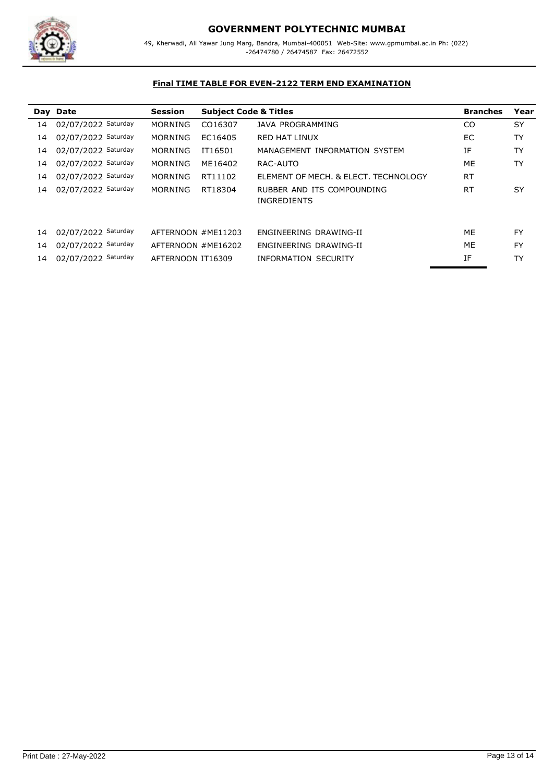

|    | Day Date            | <b>Session</b>     | <b>Subject Code &amp; Titles</b> |                                                  | <b>Branches</b> | Year      |
|----|---------------------|--------------------|----------------------------------|--------------------------------------------------|-----------------|-----------|
| 14 | 02/07/2022 Saturday | <b>MORNING</b>     | CO16307                          | <b>JAVA PROGRAMMING</b>                          | <sub>CO</sub>   | SY        |
| 14 | 02/07/2022 Saturday | <b>MORNING</b>     | EC16405                          | <b>RED HAT LINUX</b>                             | EC.             | <b>TY</b> |
| 14 | 02/07/2022 Saturday | <b>MORNING</b>     | IT16501                          | MANAGEMENT INFORMATION SYSTEM                    | ΙF              | TY        |
| 14 | 02/07/2022 Saturday | <b>MORNING</b>     | ME16402                          | RAC-AUTO                                         | ME              | TY        |
| 14 | 02/07/2022 Saturday | <b>MORNING</b>     | RT11102                          | ELEMENT OF MECH. & ELECT. TECHNOLOGY             | <b>RT</b>       |           |
| 14 | 02/07/2022 Saturday | <b>MORNING</b>     | RT18304                          | RUBBER AND ITS COMPOUNDING<br><b>INGREDIENTS</b> | <b>RT</b>       | <b>SY</b> |
|    |                     |                    |                                  |                                                  |                 |           |
| 14 | 02/07/2022 Saturday | AFTERNOON #ME11203 |                                  | ENGINEERING DRAWING-II                           | ME              | <b>FY</b> |
| 14 | 02/07/2022 Saturday | AFTERNOON #ME16202 |                                  | ENGINEERING DRAWING-II                           | ME              | <b>FY</b> |
| 14 | 02/07/2022 Saturday | AFTERNOON IT16309  |                                  | <b>INFORMATION SECURITY</b>                      | ΙF              | TY        |